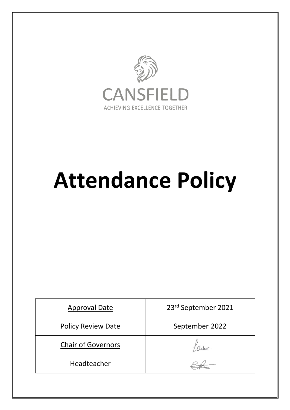

# **Attendance Policy**

| <b>Approval Date</b>      | 23rd September 2021 |
|---------------------------|---------------------|
| <b>Policy Review Date</b> | September 2022      |
| <b>Chair of Governors</b> |                     |
| Headteacher               |                     |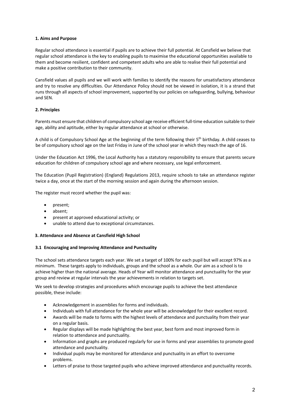## **1. Aims and Purpose**

Regular school attendance is essential if pupils are to achieve their full potential. At Cansfield we believe that regular school attendance is the key to enabling pupils to maximise the educational opportunities available to them and become resilient, confident and competent adults who are able to realise their full potential and make a positive contribution to their community.

Cansfield values all pupils and we will work with families to identify the reasons for unsatisfactory attendance and try to resolve any difficulties. Our Attendance Policy should not be viewed in isolation, it is a strand that runs through all aspects of school improvement, supported by our policies on safeguarding, bullying, behaviour and SEN.

# **2. Principles**

Parents must ensure that children of compulsory school age receive efficient full-time education suitable to their age, ability and aptitude, either by regular attendance at school or otherwise.

A child is of Compulsory School Age at the beginning of the term following their 5th birthday. A child ceases to be of compulsory school age on the last Friday in June of the school year in which they reach the age of 16.

Under the Education Act 1996, the Local Authority has a statutory responsibility to ensure that parents secure education for children of compulsory school age and where necessary, use legal enforcement.

The Education (Pupil Registration) (England) Regulations 2013, require schools to take an attendance register twice a day, once at the start of the morning session and again during the afternoon session.

The register must record whether the pupil was:

- present;
- absent;
- present at approved educational activity; or
- unable to attend due to exceptional circumstances.

### **3. Attendance and Absence at Cansfield High School**

### **3.1 Encouraging and Improving Attendance and Punctuality**

The school sets attendance targets each year. We set a target of 100% for each pupil but will accept 97% as a minimum. These targets apply to individuals, groups and the school as a whole. Our aim as a school is to achieve higher than the national average. Heads of Year will monitor attendance and punctuality for the year group and review at regular intervals the year achievements in relation to targets set.

We seek to develop strategies and procedures which encourage pupils to achieve the best attendance possible, these include:

- Acknowledgement in assemblies for forms and individuals.
- Individuals with full attendance for the whole year will be acknowledged for their excellent record.
- Awards will be made to forms with the highest levels of attendance and punctuality from their year on a regular basis.
- Regular displays will be made highlighting the best year, best form and most improved form in relation to attendance and punctuality.
- Information and graphs are produced regularly for use in forms and year assemblies to promote good attendance and punctuality.
- Individual pupils may be monitored for attendance and punctuality in an effort to overcome problems.
- Letters of praise to those targeted pupils who achieve improved attendance and punctuality records.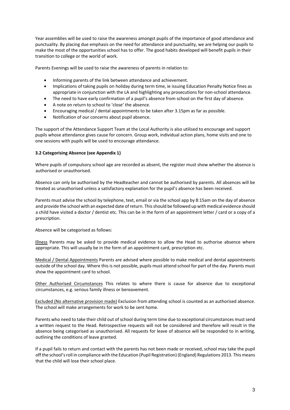Year assemblies will be used to raise the awareness amongst pupils of the importance of good attendance and punctuality. By placing due emphasis on the need for attendance and punctuality, we are helping our pupils to make the most of the opportunities school has to offer. The good habits developed will benefit pupils in their transition to college or the world of work.

Parents Evenings will be used to raise the awareness of parents in relation to:

- Informing parents of the link between attendance and achievement.
- Implications of taking pupils on holiday during term time, ie issuing Education Penalty Notice fines as appropriate in conjunction with the LA and highlighting any prosecutions for non-school attendance.
- The need to have early confirmation of a pupil's absence from school on the first day of absence.
- A note on return to school to 'close' the absence.
- Encouraging medical / dental appointments to be taken after 3.15pm as far as possible.
- Notification of our concerns about pupil absence.

The support of the Attendance Support Team at the Local Authority is also utilised to encourage and support pupils whose attendance gives cause for concern. Group work, individual action plans, home visits and one to one sessions with pupils will be used to encourage attendance.

### **3.2 Categorising Absence (see Appendix 1)**

Where pupils of compulsory school age are recorded as absent, the register must show whether the absence is authorised or unauthorised.

Absence can only be authorised by the Headteacher and cannot be authorised by parents. All absences will be treated as unauthorised unless a satisfactory explanation for the pupil's absence has been received.

Parents must advise the school by telephone, text, email or via the school app by 8:15am on the day of absence and provide the school with an expected date of return. This should be followed up with medical evidence should a child have visited a doctor / dentist etc. This can be in the form of an appointment letter / card or a copy of a prescription.

Absence will be categorised as follows:

Illness Parents may be asked to provide medical evidence to allow the Head to authorise absence where appropriate. This will usually be in the form of an appointment card, prescription etc.

Medical / Dental Appointments Parents are advised where possible to make medical and dental appointments outside of the school day. Where this is not possible, pupils must attend school for part of the day. Parents must show the appointment card to school.

Other Authorised Circumstances This relates to where there is cause for absence due to exceptional circumstances, e.g. serious family illness or bereavement.

Excluded (No alternative provision made) Exclusion from attending school is counted as an authorised absence. The school will make arrangements for work to be sent home.

Parents who need to take their child out of school during term time due to exceptional circumstances must send a written request to the Head. Retrospective requests will not be considered and therefore will result in the absence being categorised as unauthorised. All requests for leave of absence will be responded to in writing, outlining the conditions of leave granted.

If a pupil fails to return and contact with the parents has not been made or received, school may take the pupil off the school's roll in compliance with the Education (Pupil Registration) (England) Regulations 2013. This means that the child will lose their school place.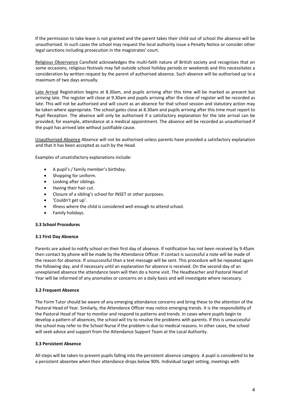If the permission to take leave is not granted and the parent takes their child out of school the absence will be unauthorised. In such cases the school may request the local authority issue a Penalty Notice or consider other legal sanctions including prosecution in the magistrates' court.

Religious Observance Cansfield acknowledges the multi-faith nature of British society and recognises that on some occasions, religious festivals may fall outside school holiday periods or weekends and this necessitates a consideration by written request by the parent of authorised absence. Such absence will be authorised up to a maximum of two days annually.

Late Arrival Registration begins at 8.30am, and pupils arriving after this time will be marked as present but arriving late. The register will close at 9.30am and pupils arriving after the close of register will be recorded as late. This will not be authorised and will count as an absence for that school session and statutory action may be taken where appropriate. The school gates close at 8.30am and pupils arriving after this time must report to Pupil Reception. The absence will only be authorised if a satisfactory explanation for the late arrival can be provided; for example, attendance at a medical appointment. The absence will be recorded as unauthorised if the pupil has arrived late without justifiable cause.

Unauthorised Absence Absence will not be authorised unless parents have provided a satisfactory explanation and that it has been accepted as such by the Head.

Examples of unsatisfactory explanations include:

- A pupil's / family member's birthday.
- Shopping for uniform.
- Looking after siblings.
- Having their hair cut.
- Closure of a sibling's school for INSET or other purposes.
- 'Couldn't get up'.
- Illness where the child is considered well enough to attend school.
- Family holidays.

### **3.3 School Procedures**

### **3.1 First Day Absence**

Parents are asked to notify school on their first day of absence. If notification has not been received by 9.45am then contact by phone will be made by the Attendance Officer. If contact is successful a note will be made of the reason for absence. If unsuccessful than a text message will be sent. This procedure will be repeated again the following day, and if necessary until an explanation for absence is received. On the second day of an unexplained absence the attendance team will then do a home visit. The Headteacher and Pastoral Head of Year will be informed of any anomalies or concerns on a daily basis and will investigate where necessary.

### **3.2 Frequent Absence**

The Form Tutor should be aware of any emerging attendance concerns and bring these to the attention of the Pastoral Head of Year. Similarly, the Attendance Officer may notice emerging trends. It is the responsibility of the Pastoral Head of Year to monitor and respond to patterns and trends. In cases where pupils begin to develop a pattern of absences, the school will try to resolve the problems with parents. If this is unsuccessful the school may refer to the School Nurse if the problem is due to medical reasons. In other cases, the school will seek advice and support from the Attendance Support Team at the Local Authority.

### **3.3 Persistent Absence**

All steps will be taken to prevent pupils falling into the persistent absence category. A pupil is considered to be a persistent absentee when their attendance drops below 90%. Individual target setting, meetings with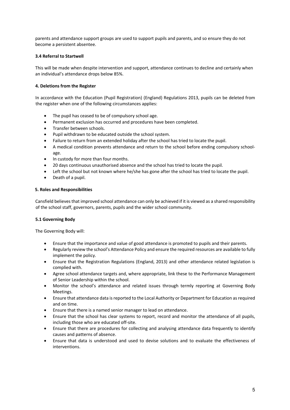parents and attendance support groups are used to support pupils and parents, and so ensure they do not become a persistent absentee.

## **3.4 Referral to Startwell**

This will be made when despite intervention and support, attendance continues to decline and certainly when an individual's attendance drops below 85%.

## **4. Deletions from the Register**

In accordance with the Education (Pupil Registration) (England) Regulations 2013, pupils can be deleted from the register when one of the following circumstances applies:

- The pupil has ceased to be of compulsory school age.
- Permanent exclusion has occurred and procedures have been completed.
- Transfer between schools.
- Pupil withdrawn to be educated outside the school system.
- Failure to return from an extended holiday after the school has tried to locate the pupil.
- A medical condition prevents attendance and return to the school before ending compulsory schoolage.
- In custody for more than four months.
- 20 days continuous unauthorised absence and the school has tried to locate the pupil.
- Left the school but not known where he/she has gone after the school has tried to locate the pupil.
- Death of a pupil.

### **5. Roles and Responsibilities**

Cansfield believes that improved school attendance can only be achieved if it is viewed as a shared responsibility of the school staff, governors, parents, pupils and the wider school community.

### **5.1 Governing Body**

The Governing Body will:

- Ensure that the importance and value of good attendance is promoted to pupils and their parents.
- Regularly review the school's Attendance Policy and ensure the required resources are available to fully implement the policy.
- Ensure that the Registration Regulations (England, 2013) and other attendance related legislation is complied with.
- Agree school attendance targets and, where appropriate, link these to the Performance Management of Senior Leadership within the school.
- Monitor the school's attendance and related issues through termly reporting at Governing Body Meetings.
- Ensure that attendance data is reported to the Local Authority or Department for Education as required and on time.
- Ensure that there is a named senior manager to lead on attendance.
- Ensure that the school has clear systems to report, record and monitor the attendance of all pupils, including those who are educated off-site.
- Ensure that there are procedures for collecting and analysing attendance data frequently to identify causes and patterns of absence.
- Ensure that data is understood and used to devise solutions and to evaluate the effectiveness of interventions.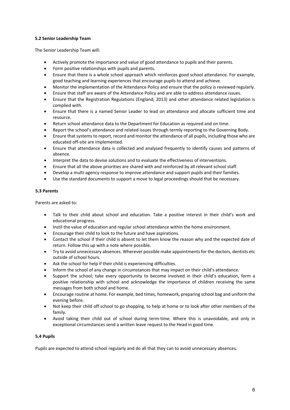## **5.2 Senior Leadership Team**

The Senior Leadership Team will:

- Actively promote the importance and value of good attendance to pupils and their parents.
- Form positive relationships with pupils and parents.
- Ensure that there is a whole school approach which reinforces good school attendance. For example, good teaching and learning experiences that encourage pupils to attend and achieve.
- Monitor the implementation of the Attendance Policy and ensure that the policy is reviewed regularly.
- Ensure that staff are aware of the Attendance Policy and are able to address attendance issues.
- Ensure that the Registration Regulations (England, 2013) and other attendance related legislation is complied with.
- Ensure that there is a named Senior Leader to lead on attendance and allocate sufficient time and resource.
- Return school attendance data to the Department for Education as required and on time.
- Report the school's attendance and related issues through termly reporting to the Governing Body.
- Ensure that systems to report, record and monitor the attendance of all pupils, including those who are educated off-site are implemented.
- Ensure that attendance data is collected and analysed frequently to identify causes and patterns of absence.
- Interpret the data to devise solutions and to evaluate the effectiveness of interventions.
- Ensure that all the above priorities are shared with and reinforced by all relevant school staff.
- Develop a multi-agency response to improve attendance and support pupils and their families.
- Use the standard documents to support a move to legal proceedings should that be necessary.

### **5.3 Parents**

Parents are asked to:

- Talk to their child about school and education. Take a positive interest in their child's work and educational progress.
- Instil the value of education and regular school attendance within the home environment.
- Encourage their child to look to the future and have aspirations.
- Contact the school if their child is absent to let them know the reason why and the expected date of return. Follow this up with a note where possible.
- Try to avoid unnecessary absences. Wherever possible make appointments for the doctors, dentists etc outside of school hours.
- Ask the school for help if their child is experiencing difficulties.
- Inform the school of any change in circumstances that may impact on their child's attendance.
- Support the school; take every opportunity to become involved in their child's education, form a positive relationship with school and acknowledge the importance of children receiving the same messages from both school and home.
- Encourage routine at home. For example, bed times, homework, preparing school bag and uniform the evening before.
- Not keep their child off school to go shopping, to help at home or to look after other members of the family.
- Avoid taking their child out of school during term-time. Where this is unavoidable, and only in exceptional circumstances send a written leave request to the Head in good time.

### **5.4 Pupils**

Pupils are expected to attend school regularly and do all that they can to avoid unnecessary absences.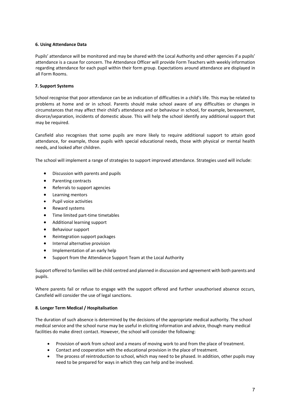## **6. Using Attendance Data**

Pupils' attendance will be monitored and may be shared with the Local Authority and other agencies if a pupils' attendance is a cause for concern. The Attendance Officer will provide Form Teachers with weekly information regarding attendance for each pupil within their form group. Expectations around attendance are displayed in all Form Rooms.

# **7. Support Systems**

School recognise that poor attendance can be an indication of difficulties in a child's life. This may be related to problems at home and or in school. Parents should make school aware of any difficulties or changes in circumstances that may affect their child's attendance and or behaviour in school, for example, bereavement, divorce/separation, incidents of domestic abuse. This will help the school identify any additional support that may be required.

Cansfield also recognises that some pupils are more likely to require additional support to attain good attendance, for example, those pupils with special educational needs, those with physical or mental health needs, and looked after children.

The school will implement a range of strategies to support improved attendance. Strategies used will include:

- Discussion with parents and pupils
- Parenting contracts
- Referrals to support agencies
- Learning mentors
- Pupil voice activities
- Reward systems
- Time limited part-time timetables
- Additional learning support
- Behaviour support
- Reintegration support packages
- Internal alternative provision
- Implementation of an early help
- Support from the Attendance Support Team at the Local Authority

Support offered to families will be child centred and planned in discussion and agreement with both parents and pupils.

Where parents fail or refuse to engage with the support offered and further unauthorised absence occurs, Cansfield will consider the use of legal sanctions.

# **8. Longer Term Medical / Hospitalisation**

The duration of such absence is determined by the decisions of the appropriate medical authority. The school medical service and the school nurse may be useful in eliciting information and advice, though many medical facilities do make direct contact. However, the school will consider the following:

- Provision of work from school and a means of moving work to and from the place of treatment.
- Contact and cooperation with the educational provision in the place of treatment.
- The process of reintroduction to school, which may need to be phased. In addition, other pupils may need to be prepared for ways in which they can help and be involved.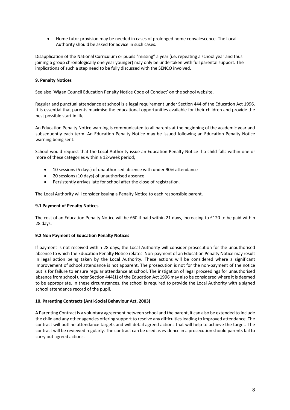• Home tutor provision may be needed in cases of prolonged home convalescence. The Local Authority should be asked for advice in such cases.

Disapplication of the National Curriculum or pupils "missing" a year (i.e. repeating a school year and thus joining a group chronologically one year younger) may only be undertaken with full parental support. The implications of such a step need to be fully discussed with the SENCO involved.

# **9. Penalty Notices**

See also 'Wigan Council Education Penalty Notice Code of Conduct' on the school website.

Regular and punctual attendance at school is a legal requirement under Section 444 of the Education Act 1996. It is essential that parents maximise the educational opportunities available for their children and provide the best possible start in life.

An Education Penalty Notice warning is communicated to all parents at the beginning of the academic year and subsequently each term. An Education Penalty Notice may be issued following an Education Penalty Notice warning being sent.

School would request that the Local Authority issue an Education Penalty Notice if a child falls within one or more of these categories within a 12-week period;

- 10 sessions (5 days) of unauthorised absence with under 90% attendance
- 20 sessions (10 days) of unauthorised absence
- Persistently arrives late for school after the close of registration.

The Local Authority will consider issuing a Penalty Notice to each responsible parent.

## **9.1 Payment of Penalty Notices**

The cost of an Education Penalty Notice will be £60 if paid within 21 days, increasing to £120 to be paid within 28 days.

### **9.2 Non Payment of Education Penalty Notices**

If payment is not received within 28 days, the Local Authority will consider prosecution for the unauthorised absence to which the Education Penalty Notice relates. Non-payment of an Education Penalty Notice may result in legal action being taken by the Local Authority. These actions will be considered where a significant improvement of school attendance is not apparent. The prosecution is not for the non-payment of the notice but is for failure to ensure regular attendance at school. The instigation of legal proceedings for unauthorised absence from school under Section 444(1) of the Education Act 1996 may also be considered where it is deemed to be appropriate. In these circumstances, the school is required to provide the Local Authority with a signed school attendance record of the pupil.

### **10. Parenting Contracts (Anti-Social Behaviour Act, 2003)**

A Parenting Contract is a voluntary agreement between school and the parent, it can also be extended to include the child and any other agencies offering support to resolve any difficulties leading to improved attendance. The contract will outline attendance targets and will detail agreed actions that will help to achieve the target. The contract will be reviewed regularly. The contract can be used as evidence in a prosecution should parents fail to carry out agreed actions.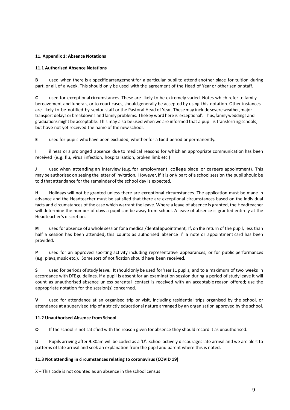# **11. Appendix 1: Absence Notations**

### **11.1 Authorised Absence Notations**

**B** used when there is a specific arrangement for a particular pupil to attend another place for tuition during part, or all, of a week. This should only be used with the agreement of the Head of Year or other senior staff.

**C** used for exceptional circumstances. These are likely to be extremely varied. Notes which refer to family bereavement and funerals, or to court cases, should generally be accepted by using this notation. Other instances are likely to be notified by senior staff or the Pastoral Head of Year. Thesemay includesevere weather,major transport delays or breakdowns andfamily problems. Thekey word here is'exceptional'. Thus,familyweddings and graduationsmight be acceptable. This may also be used when we are informed that a pupil is transferring schools, but have not yet received the name of the new school.

**E** used for pupils whohave been excluded, whetherfor a fixed period or permanently.

**I** illness or a prolonged absence due to medical reasons for which an appropriate communication has been received (e.g. flu, virus infection, hospitalisation, broken limb etc.)

**<sup>J</sup>** used when attending an interview (e.g. for employment, college place or careers appointment). This may be authorised on seeing the letter of invitation. However, if it is only part of a school session the pupil should be told that attendance for the remainder of the school day is expected.

**H** Holidays will not be granted unless there are exceptional circumstances. The application must be made in advance and the Headteacher must be satisfied that there are exceptional circumstances based on the individual facts and circumstances of the case which warrant the leave. Where a leave of absence is granted, the Headteacher will determine the number of days a pupil can be away from school. A leave of absence is granted entirely at the Headteacher's discretion.

**M** used for absence of a whole sessionfor a medical/dental appointment, If, on the return of the pupil, less than half a session has been attended, this counts as authorised absence if a note or appointment card has been provided.

**P** used for an approved sporting activity including representative appearances, or for public performances (e.g. plays,music etc.). Some sort of notification should have been received.

**S** used for periods of study leave. It should only be used for Year 11 pupils, and to a maximum of two weeks in accordance with DFEguidelines. If a pupil is absent for an examination session during a period of study leave it will count as unauthorised absence unless parental contact is received with an acceptable reason offered; use the appropriate notation for the session(s) concerned.

**V** used for attendance at an organised trip or visit, including residential trips organised by the school, or attendance at a supervised trip of a strictly educational nature arranged by an organisation approved by the school.

## **11.2 Unauthorised Absence from School**

**O** If the school is not satisfied with the reason given for absence they should record it as unauthorised.

**U** Pupils arriving after 9.30am will be coded as a 'U'. School actively discourages late arrival and we are alert to patterns of late arrival and seek an explanation from the pupil and parent where this is noted.

## **11.3 Not attending in circumstances relating to coronavirus (COVID 19)**

X – This code is not counted as an absence in the school census